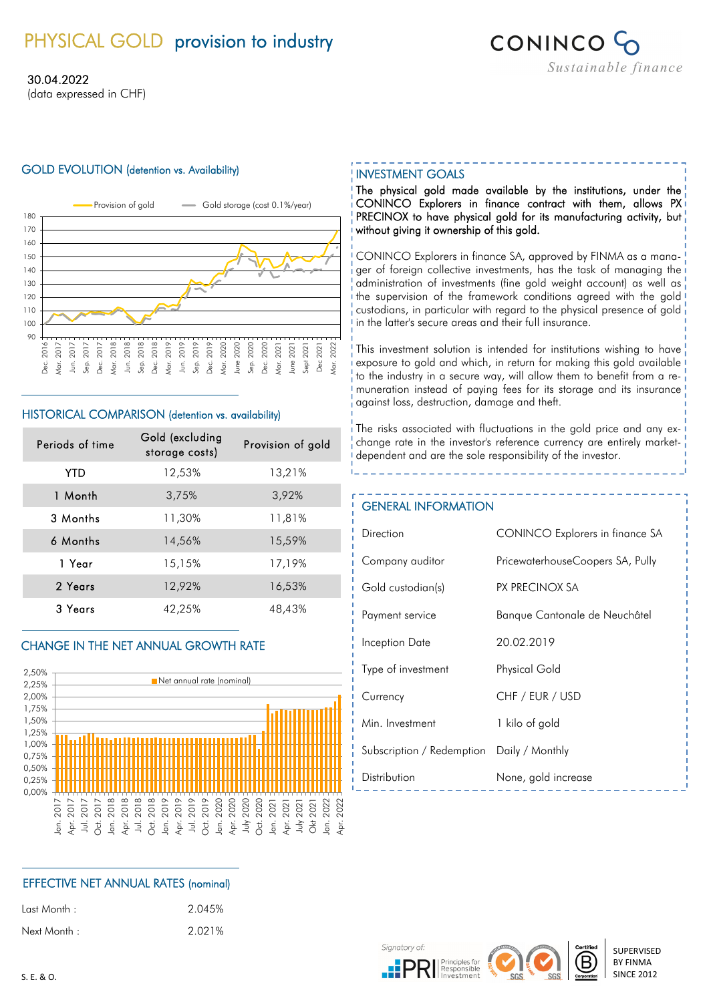# PHYSICAL GOLD provision to industry



### 30.04.2022

(data expressed in CHF)

### GOLD EVOLUTION (detention vs. Availability) **INVESTMENT GOALS**



### HISTORICAL COMPARISON (detention vs. availability)

| Periods of time | Gold (excluding<br>storage costs) | Provision of gold |
|-----------------|-----------------------------------|-------------------|
| YTD             | 12,53%                            | 13,21%            |
| 1 Month         | 3,75%                             | 3,92%             |
| 3 Months        | 11,30%                            | 11,81%            |
| 6 Months        | 14,56%                            | 15,59%            |
| 1 Year          | 15,15%                            | 17,19%            |
| 2 Years         | 12,92%                            | 16,53%            |
| 3 Years         | 42,25%                            | 48,43%            |

### CHANGE IN THE NET ANNUAL GROWTH RATE



### EFFECTIVE NET ANNUAL RATES (nominal)

| : ast Month. |  |
|--------------|--|
| Next Month : |  |

2.045% 2.021%

The physical gold made available by the institutions, under the CONINCO Explorers in finance contract with them, allows PX PRECINOX to have physical gold for its manufacturing activity, but without giving it ownership of this gold.

CONINCO Explorers in finance SA, approved by FINMA as a manager of foreign collective investments, has the task of managing the administration of investments (fine gold weight account) as well as the supervision of the framework conditions agreed with the gold custodians, in particular with regard to the physical presence of gold in the latter's secure areas and their full insurance.

This investment solution is intended for institutions wishing to have exposure to gold and which, in return for making this gold available to the industry in a secure way, will allow them to benefit from a remuneration instead of paying fees for its storage and its insurance against loss, destruction, damage and theft.

The risks associated with fluctuations in the gold price and any exchange rate in the investor's reference currency are entirely marketdependent and are the sole responsibility of the investor.

### GENERAL INFORMATION

| Direction                 | <b>CONINCO Explorers in finance SA</b> |
|---------------------------|----------------------------------------|
| Company auditor           | PricewaterhouseCoopers SA, Pully       |
| Gold custodian(s)         | PX PRECINOX SA                         |
| Payment service           | Banque Cantonale de Neuchâtel          |
| Inception Date            | 20.02.2019                             |
| Type of investment        | <b>Physical Gold</b>                   |
| Currency                  | CHF / EUR / USD                        |
| Min. Investment           | 1 kilo of gold                         |
| Subscription / Redemption | Daily / Monthly                        |
| Distribution              | None, gold increase                    |